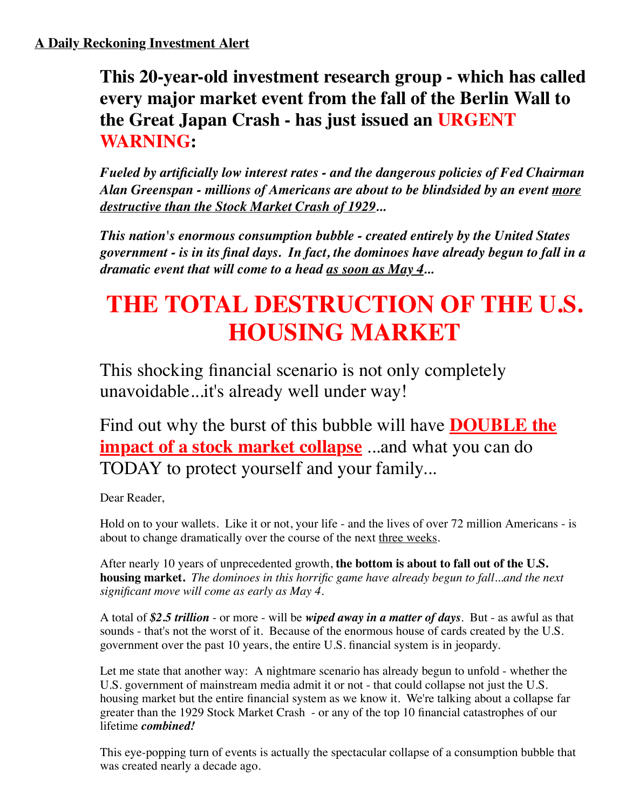**This 20-year-old investment research group - which has called every major market event from the fall of the Berlin Wall to the Great Japan Crash - has just issued an URGENT WARNING:**

*Fueled by artificially low interest rates - and the dangerous policies of Fed Chairman Alan Greenspan - millions of Americans are about to be blindsided by an event more destructive than the Stock Market Crash of 1929...*

*This nation's enormous consumption bubble - created entirely by the United States government - is in its final days. In fact, the dominoes have already begun to fall in a dramatic event that will come to a head as soon as May 4...*

# **THE TOTAL DESTRUCTION OF THE U.S. HOUSING MARKET**

This shocking financial scenario is not only completely unavoidable...it's already well under way!

Find out why the burst of this bubble will have **DOUBLE the impact of a stock market collapse** ...and what you can do TODAY to protect yourself and your family...

Dear Reader,

Hold on to your wallets. Like it or not, your life - and the lives of over 72 million Americans - is about to change dramatically over the course of the next three weeks.

After nearly 10 years of unprecedented growth, **the bottom is about to fall out of the U.S. housing market.** *The dominoes in this horrific game have already begun to fall...and the next significant move will come as early as May 4*.

A total of *\$2.5 trillion* - or more - will be *wiped away in a matter of days*. But - as awful as that sounds - that's not the worst of it. Because of the enormous house of cards created by the U.S. government over the past 10 years, the entire U.S. financial system is in jeopardy.

Let me state that another way: A nightmare scenario has already begun to unfold - whether the U.S. government of mainstream media admit it or not - that could collapse not just the U.S. housing market but the entire financial system as we know it. We're talking about a collapse far greater than the 1929 Stock Market Crash - or any of the top 10 financial catastrophes of our lifetime *combined!*

This eye-popping turn of events is actually the spectacular collapse of a consumption bubble that was created nearly a decade ago.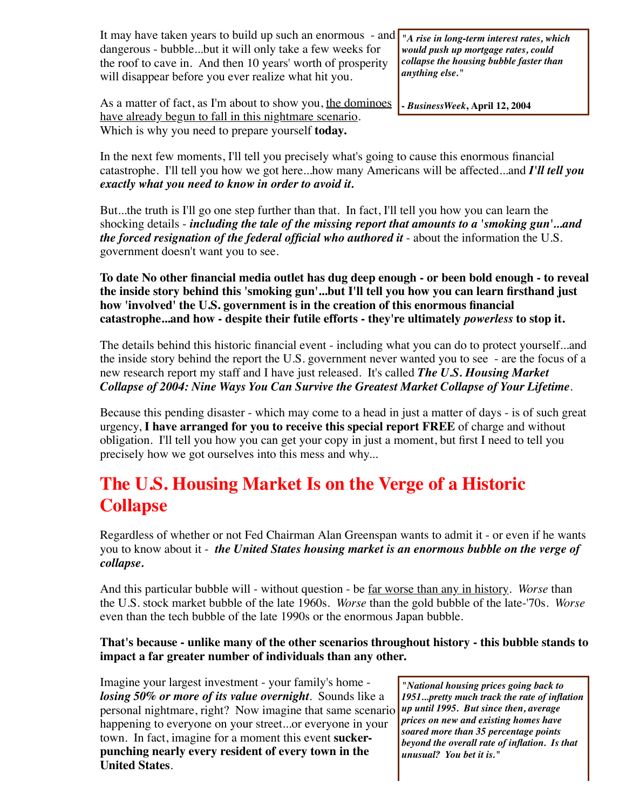It may have taken years to build up such an enormous - and  $\frac{d}{dx}$  rise in long-term interest rates, which dangerous - bubble...but it will only take a few weeks for the roof to cave in. And then 10 years' worth of prosperity will disappear before you ever realize what hit you.

*would push up mortgage rates, could collapse the housing bubble faster than anything else."*

**-** *BusinessWeek***, April 12, 2004**

As a matter of fact, as I'm about to show you, the dominoes have already begun to fall in this nightmare scenario. Which is why you need to prepare yourself **today.**

In the next few moments, I'll tell you precisely what's going to cause this enormous financial catastrophe. I'll tell you how we got here...how many Americans will be affected...and *I'll tell you exactly what you need to know in order to avoid it.* 

But...the truth is I'll go one step further than that. In fact, I'll tell you how you can learn the shocking details - *including the tale of the missing report that amounts to a 'smoking gun'...and the forced resignation of the federal official who authored it* - about the information the U.S. government doesn't want you to see*.*

**To date No other financial media outlet has dug deep enough - or been bold enough - to reveal the inside story behind this 'smoking gun'...but I'll tell you how you can learn firsthand just how 'involved' the U.S. government is in the creation of this enormous financial catastrophe...and how - despite their futile efforts - they're ultimately** *powerless* **to stop it.** 

The details behind this historic financial event - including what you can do to protect yourself...and the inside story behind the report the U.S. government never wanted you to see - are the focus of a new research report my staff and I have just released. It's called *The U.S. Housing Market Collapse of 2004: Nine Ways You Can Survive the Greatest Market Collapse of Your Lifetime*.

Because this pending disaster - which may come to a head in just a matter of days - is of such great urgency, **I have arranged for you to receive this special report FREE** of charge and without obligation. I'll tell you how you can get your copy in just a moment, but first I need to tell you precisely how we got ourselves into this mess and why...

## **The U.S. Housing Market Is on the Verge of a Historic Collapse**

Regardless of whether or not Fed Chairman Alan Greenspan wants to admit it - or even if he wants you to know about it - *the United States housing market is an enormous bubble on the verge of collapse.*

And this particular bubble will - without question - be far worse than any in history. *Worse* than the U.S. stock market bubble of the late 1960s. *Worse* than the gold bubble of the late-'70s. *Worse* even than the tech bubble of the late 1990s or the enormous Japan bubble.

#### **That's because - unlike many of the other scenarios throughout history - this bubble stands to impact a far greater number of individuals than any other.**

Imagine your largest investment - your family's home *losing 50% or more of its value overnight*. Sounds like a personal nightmare, right? Now imagine that same scenario happening to everyone on your street...or everyone in your town. In fact, imagine for a moment this event **suckerpunching nearly every resident of every town in the United States**.

*"National housing prices going back to 1951...pretty much track the rate of inflation up until 1995. But since then, average prices on new and existing homes have soared more than 35 percentage points beyond the overall rate of inflation. Is that unusual? You bet it is."*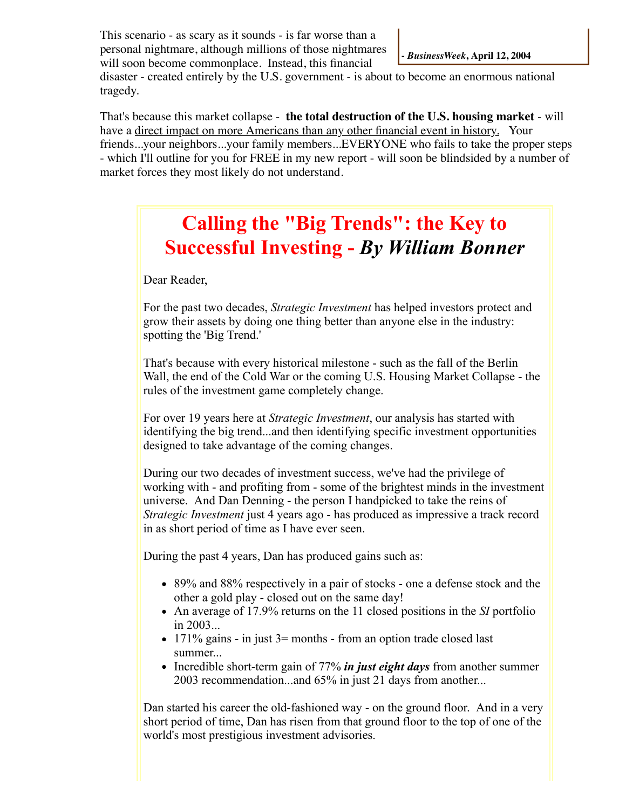This scenario - as scary as it sounds - is far worse than a personal nightmare, although millions of those nightmares will soon become commonplace. Instead, this financial

disaster - created entirely by the U.S. government - is about to become an enormous national tragedy.

That's because this market collapse - **the total destruction of the U.S. housing market** - will have a direct impact on more Americans than any other financial event in history. Your friends...your neighbors...your family members...EVERYONE who fails to take the proper steps - which I'll outline for you for FREE in my new report - will soon be blindsided by a number of market forces they most likely do not understand.

## **Calling the "Big Trends": the Key to Successful Investing -** *By William Bonner*

Dear Reader,

For the past two decades, *Strategic Investment* has helped investors protect and grow their assets by doing one thing better than anyone else in the industry: spotting the 'Big Trend.'

That's because with every historical milestone - such as the fall of the Berlin Wall, the end of the Cold War or the coming U.S. Housing Market Collapse - the rules of the investment game completely change.

For over 19 years here at *Strategic Investment*, our analysis has started with identifying the big trend...and then identifying specific investment opportunities designed to take advantage of the coming changes.

During our two decades of investment success, we've had the privilege of working with - and profiting from - some of the brightest minds in the investment universe. And Dan Denning - the person I handpicked to take the reins of *Strategic Investment* just 4 years ago - has produced as impressive a track record in as short period of time as I have ever seen.

During the past 4 years, Dan has produced gains such as:

- 89% and 88% respectively in a pair of stocks one a defense stock and the other a gold play - closed out on the same day!
- An average of 17.9% returns on the 11 closed positions in the *SI* portfolio in 2003...
- $\bullet$  171% gains in just 3= months from an option trade closed last summer...
- Incredible short-term gain of 77% *in just eight days* from another summer 2003 recommendation...and 65% in just 21 days from another...

Dan started his career the old-fashioned way - on the ground floor. And in a very short period of time, Dan has risen from that ground floor to the top of one of the world's most prestigious investment advisories.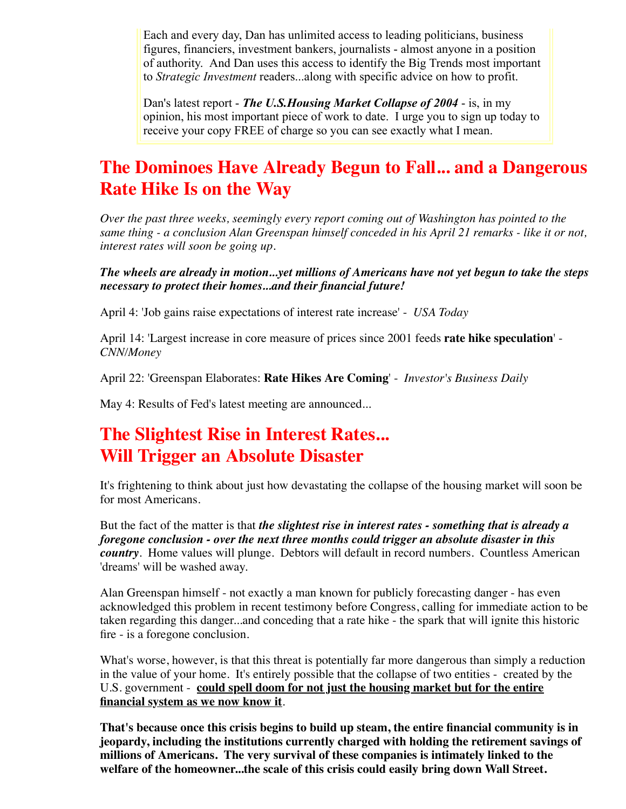Each and every day, Dan has unlimited access to leading politicians, business figures, financiers, investment bankers, journalists - almost anyone in a position of authority. And Dan uses this access to identify the Big Trends most important to *Strategic Investment* readers...along with specific advice on how to profit.

Dan's latest report - *The U.S.Housing Market Collapse of 2004* - is, in my opinion, his most important piece of work to date. I urge you to sign up today to receive your copy FREE of charge so you can see exactly what I mean.

## **The Dominoes Have Already Begun to Fall... and a Dangerous Rate Hike Is on the Way**

*Over the past three weeks, seemingly every report coming out of Washington has pointed to the same thing - a conclusion Alan Greenspan himself conceded in his April 21 remarks - like it or not, interest rates will soon be going up.*

*The wheels are already in motion...yet millions of Americans have not yet begun to take the steps necessary to protect their homes...and their financial future!*

April 4: 'Job gains raise expectations of interest rate increase' - *USA Today*

April 14: 'Largest increase in core measure of prices since 2001 feeds **rate hike speculation**' - *CNN/Money*

April 22: 'Greenspan Elaborates: **Rate Hikes Are Coming**' - *Investor's Business Daily*

May 4: Results of Fed's latest meeting are announced...

## **The Slightest Rise in Interest Rates... Will Trigger an Absolute Disaster**

It's frightening to think about just how devastating the collapse of the housing market will soon be for most Americans.

But the fact of the matter is that *the slightest rise in interest rates - something that is already a foregone conclusion - over the next three months could trigger an absolute disaster in this country*. Home values will plunge. Debtors will default in record numbers. Countless American 'dreams' will be washed away.

Alan Greenspan himself - not exactly a man known for publicly forecasting danger - has even acknowledged this problem in recent testimony before Congress, calling for immediate action to be taken regarding this danger...and conceding that a rate hike - the spark that will ignite this historic fire - is a foregone conclusion.

What's worse, however, is that this threat is potentially far more dangerous than simply a reduction in the value of your home. It's entirely possible that the collapse of two entities - created by the U.S. government - **could spell doom for not just the housing market but for the entire financial system as we now know it**.

**That's because once this crisis begins to build up steam, the entire financial community is in jeopardy, including the institutions currently charged with holding the retirement savings of millions of Americans. The very survival of these companies is intimately linked to the welfare of the homeowner...the scale of this crisis could easily bring down Wall Street.**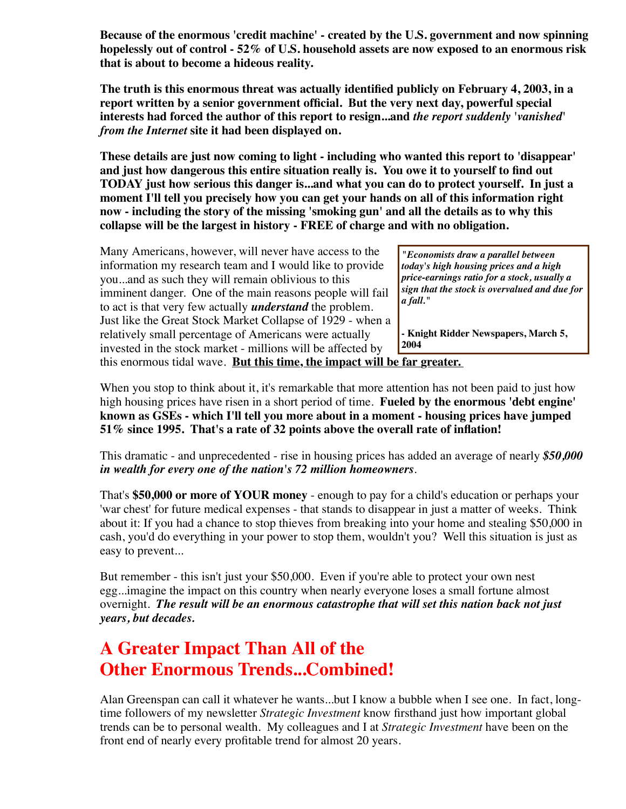**Because of the enormous 'credit machine' - created by the U.S. government and now spinning hopelessly out of control - 52% of U.S. household assets are now exposed to an enormous risk that is about to become a hideous reality.**

**The truth is this enormous threat was actually identified publicly on February 4, 2003, in a report written by a senior government official. But the very next day, powerful special interests had forced the author of this report to resign...and** *the report suddenly 'vanished' from the Internet* **site it had been displayed on.**

**These details are just now coming to light - including who wanted this report to 'disappear' and just how dangerous this entire situation really is. You owe it to yourself to find out TODAY just how serious this danger is...and what you can do to protect yourself. In just a moment I'll tell you precisely how you can get your hands on all of this information right now - including the story of the missing 'smoking gun' and all the details as to why this collapse will be the largest in history - FREE of charge and with no obligation.**

| Many Americans, however, will never have access to the          |
|-----------------------------------------------------------------|
| information my research team and I would like to provide        |
| youand as such they will remain oblivious to this               |
| imminent danger. One of the main reasons people will fail       |
| to act is that very few actually <i>understand</i> the problem. |
| Just like the Great Stock Market Collapse of 1929 - when a      |
| relatively small percentage of Americans were actually          |
| invested in the stock market - millions will be affected by     |
| this enormous tidal wave. But this time, the impact will b      |

*"Economists draw a parallel between today's high housing prices and a high price-earnings ratio for a stock, usually a sign that the stock is overvalued and due for a fall."*

**- Knight Ridder Newspapers, March 5, 2004**

<u>tar greater.</u> §

When you stop to think about it, it's remarkable that more attention has not been paid to just how high housing prices have risen in a short period of time. **Fueled by the enormous 'debt engine' known as GSEs - which I'll tell you more about in a moment - housing prices have jumped 51% since 1995. That's a rate of 32 points above the overall rate of inflation!**

This dramatic - and unprecedented - rise in housing prices has added an average of nearly *\$50,000 in wealth for every one of the nation's 72 million homeowners*.

That's **\$50,000 or more of YOUR money** - enough to pay for a child's education or perhaps your 'war chest' for future medical expenses - that stands to disappear in just a matter of weeks. Think about it: If you had a chance to stop thieves from breaking into your home and stealing \$50,000 in cash, you'd do everything in your power to stop them, wouldn't you? Well this situation is just as easy to prevent...

But remember - this isn't just your \$50,000. Even if you're able to protect your own nest egg...imagine the impact on this country when nearly everyone loses a small fortune almost overnight. *The result will be an enormous catastrophe that will set this nation back not just years, but decades.*

## **A Greater Impact Than All of the Other Enormous Trends...Combined!**

Alan Greenspan can call it whatever he wants...but I know a bubble when I see one. In fact, longtime followers of my newsletter *Strategic Investment* know firsthand just how important global trends can be to personal wealth. My colleagues and I at *Strategic Investment* have been on the front end of nearly every profitable trend for almost 20 years.